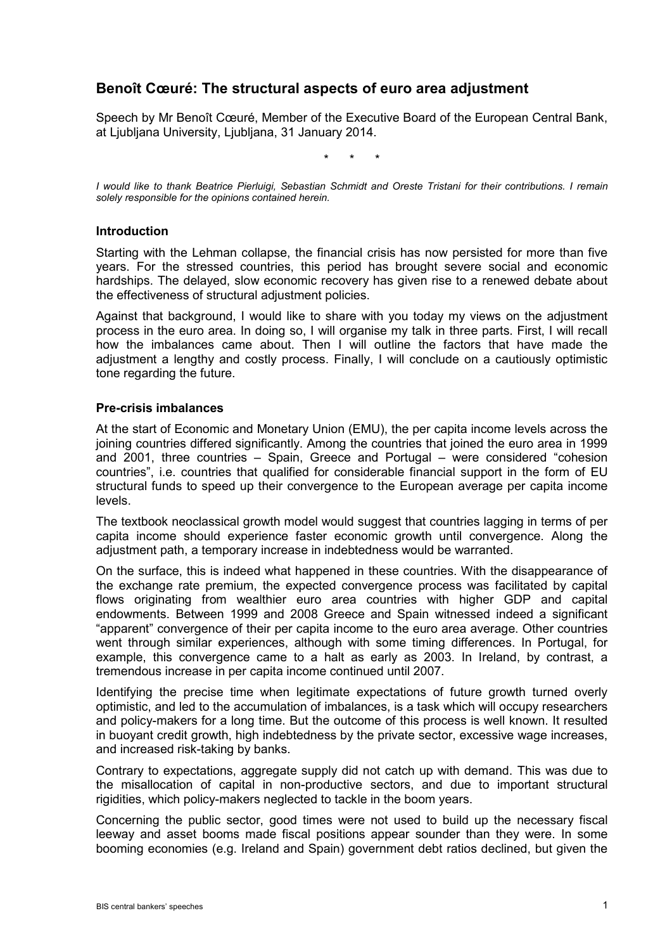# **Benoît Cœuré: The structural aspects of euro area adjustment**

Speech by Mr Benoît Cœuré, Member of the Executive Board of the European Central Bank, at Ljubljana University, Ljubljana, 31 January 2014.

\* \* \*

*I would like to thank Beatrice Pierluigi, Sebastian Schmidt and Oreste Tristani for their contributions. I remain solely responsible for the opinions contained herein.*

#### **Introduction**

Starting with the Lehman collapse, the financial crisis has now persisted for more than five years. For the stressed countries, this period has brought severe social and economic hardships. The delayed, slow economic recovery has given rise to a renewed debate about the effectiveness of structural adjustment policies.

Against that background, I would like to share with you today my views on the adjustment process in the euro area. In doing so, I will organise my talk in three parts. First, I will recall how the imbalances came about. Then I will outline the factors that have made the adjustment a lengthy and costly process. Finally, I will conclude on a cautiously optimistic tone regarding the future.

#### **Pre-crisis imbalances**

At the start of Economic and Monetary Union (EMU), the per capita income levels across the joining countries differed significantly. Among the countries that joined the euro area in 1999 and 2001, three countries – Spain, Greece and Portugal – were considered "cohesion countries", i.e. countries that qualified for considerable financial support in the form of EU structural funds to speed up their convergence to the European average per capita income levels.

The textbook neoclassical growth model would suggest that countries lagging in terms of per capita income should experience faster economic growth until convergence. Along the adjustment path, a temporary increase in indebtedness would be warranted.

On the surface, this is indeed what happened in these countries. With the disappearance of the exchange rate premium, the expected convergence process was facilitated by capital flows originating from wealthier euro area countries with higher GDP and capital endowments. Between 1999 and 2008 Greece and Spain witnessed indeed a significant "apparent" convergence of their per capita income to the euro area average. Other countries went through similar experiences, although with some timing differences. In Portugal, for example, this convergence came to a halt as early as 2003. In Ireland, by contrast, a tremendous increase in per capita income continued until 2007.

Identifying the precise time when legitimate expectations of future growth turned overly optimistic, and led to the accumulation of imbalances, is a task which will occupy researchers and policy-makers for a long time. But the outcome of this process is well known. It resulted in buoyant credit growth, high indebtedness by the private sector, excessive wage increases, and increased risk-taking by banks.

Contrary to expectations, aggregate supply did not catch up with demand. This was due to the misallocation of capital in non-productive sectors, and due to important structural rigidities, which policy-makers neglected to tackle in the boom years.

Concerning the public sector, good times were not used to build up the necessary fiscal leeway and asset booms made fiscal positions appear sounder than they were. In some booming economies (e.g. Ireland and Spain) government debt ratios declined, but given the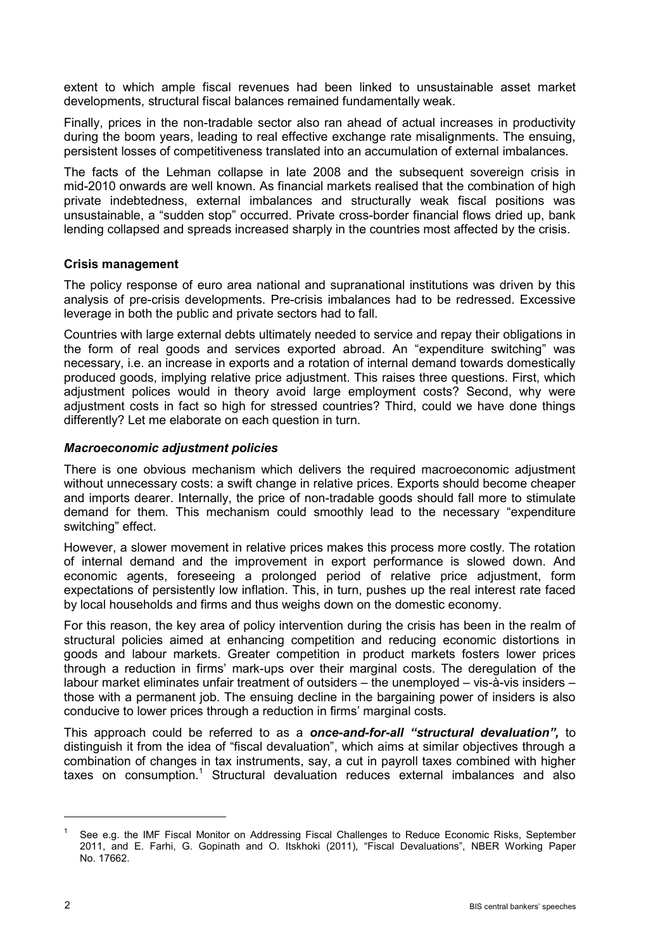extent to which ample fiscal revenues had been linked to unsustainable asset market developments, structural fiscal balances remained fundamentally weak.

Finally, prices in the non-tradable sector also ran ahead of actual increases in productivity during the boom years, leading to real effective exchange rate misalignments. The ensuing, persistent losses of competitiveness translated into an accumulation of external imbalances.

The facts of the Lehman collapse in late 2008 and the subsequent sovereign crisis in mid-2010 onwards are well known. As financial markets realised that the combination of high private indebtedness, external imbalances and structurally weak fiscal positions was unsustainable, a "sudden stop" occurred. Private cross-border financial flows dried up, bank lending collapsed and spreads increased sharply in the countries most affected by the crisis.

# **Crisis management**

The policy response of euro area national and supranational institutions was driven by this analysis of pre-crisis developments. Pre-crisis imbalances had to be redressed. Excessive leverage in both the public and private sectors had to fall.

Countries with large external debts ultimately needed to service and repay their obligations in the form of real goods and services exported abroad. An "expenditure switching" was necessary, i.e. an increase in exports and a rotation of internal demand towards domestically produced goods, implying relative price adjustment. This raises three questions. First, which adjustment polices would in theory avoid large employment costs? Second, why were adjustment costs in fact so high for stressed countries? Third, could we have done things differently? Let me elaborate on each question in turn.

## *Macroeconomic adjustment policies*

There is one obvious mechanism which delivers the required macroeconomic adjustment without unnecessary costs: a swift change in relative prices. Exports should become cheaper and imports dearer. Internally, the price of non-tradable goods should fall more to stimulate demand for them. This mechanism could smoothly lead to the necessary "expenditure switching" effect.

However, a slower movement in relative prices makes this process more costly. The rotation of internal demand and the improvement in export performance is slowed down. And economic agents, foreseeing a prolonged period of relative price adjustment, form expectations of persistently low inflation. This, in turn, pushes up the real interest rate faced by local households and firms and thus weighs down on the domestic economy.

For this reason, the key area of policy intervention during the crisis has been in the realm of structural policies aimed at enhancing competition and reducing economic distortions in goods and labour markets. Greater competition in product markets fosters lower prices through a reduction in firms' mark-ups over their marginal costs. The deregulation of the labour market eliminates unfair treatment of outsiders – the unemployed – vis-à-vis insiders – those with a permanent job. The ensuing decline in the bargaining power of insiders is also conducive to lower prices through a reduction in firms' marginal costs.

This approach could be referred to as a *once-and-for-all "structural devaluation",* to distinguish it from the idea of "fiscal devaluation", which aims at similar objectives through a combination of changes in tax instruments, say, a cut in payroll taxes combined with higher taxes on consumption.<sup>1</sup> Structural devaluation reduces external imbalances and also

<sup>1</sup> See e.g. the IMF Fiscal Monitor on Addressing Fiscal Challenges to Reduce Economic Risks, September 2011, and E. Farhi, G. Gopinath and O. Itskhoki (2011), "Fiscal Devaluations", NBER Working Paper No. 17662.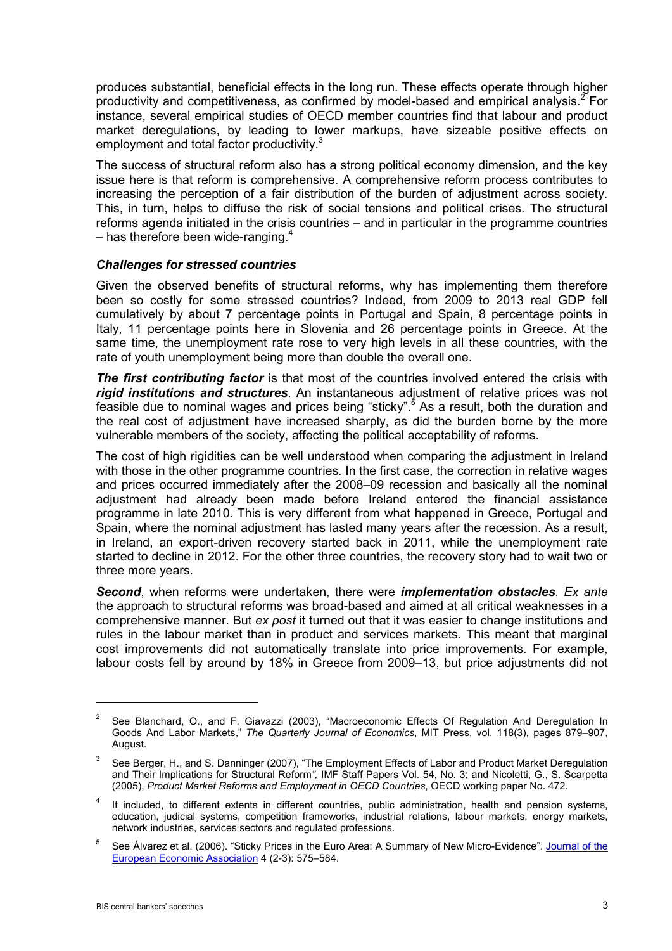produces substantial, beneficial effects in the long run. These effects operate through higher productivity and competitiveness, as confirmed by model-based and empirical analysis. <sup>2</sup> For instance, several empirical studies of OECD member countries find that labour and product market deregulations, by leading to lower markups, have sizeable positive effects on employment and total factor productivity.<sup>3</sup>

The success of structural reform also has a strong political economy dimension, and the key issue here is that reform is comprehensive. A comprehensive reform process contributes to increasing the perception of a fair distribution of the burden of adjustment across society. This, in turn, helps to diffuse the risk of social tensions and political crises. The structural reforms agenda initiated in the crisis countries – and in particular in the programme countries – has therefore been wide-ranging. $^{\text{4}}$ 

## *Challenges for stressed countries*

Given the observed benefits of structural reforms, why has implementing them therefore been so costly for some stressed countries? Indeed, from 2009 to 2013 real GDP fell cumulatively by about 7 percentage points in Portugal and Spain, 8 percentage points in Italy, 11 percentage points here in Slovenia and 26 percentage points in Greece. At the same time, the unemployment rate rose to very high levels in all these countries, with the rate of youth unemployment being more than double the overall one.

**The first contributing factor** is that most of the countries involved entered the crisis with *rigid institutions and structures*. An instantaneous adjustment of relative prices was not feasible due to nominal wages and prices being "sticky". <sup>5</sup> As a result, both the duration and the real cost of adjustment have increased sharply, as did the burden borne by the more vulnerable members of the society, affecting the political acceptability of reforms.

The cost of high rigidities can be well understood when comparing the adjustment in Ireland with those in the other programme countries. In the first case, the correction in relative wages and prices occurred immediately after the 2008–09 recession and basically all the nominal adjustment had already been made before Ireland entered the financial assistance programme in late 2010. This is very different from what happened in Greece, Portugal and Spain, where the nominal adjustment has lasted many years after the recession. As a result, in Ireland, an export-driven recovery started back in 2011, while the unemployment rate started to decline in 2012. For the other three countries, the recovery story had to wait two or three more years.

*Second*, when reforms were undertaken, there were *implementation obstacles*. *Ex ante*  the approach to structural reforms was broad-based and aimed at all critical weaknesses in a comprehensive manner. But *ex post* it turned out that it was easier to change institutions and rules in the labour market than in product and services markets. This meant that marginal cost improvements did not automatically translate into price improvements. For example, labour costs fell by around by 18% in Greece from 2009–13, but price adjustments did not

<sup>&</sup>lt;sup>2</sup> See Blanchard, O., and F. Giavazzi (2003), "Macroeconomic Effects Of Regulation And Deregulation In Goods And Labor Markets," *The Quarterly Journal of Economics*, MIT Press, vol. 118(3), pages 879–907, August.

See Berger, H., and S. Danninger (2007), "The Employment Effects of Labor and Product Market Deregulation and Their Implications for Structural Reform*",* IMF Staff Papers Vol. 54, No. 3; and Nicoletti, G., S. Scarpetta (2005), *Product Market Reforms and Employment in OECD Countries*, OECD working paper No. 472.

It included, to different extents in different countries, public administration, health and pension systems, education, judicial systems, competition frameworks, industrial relations, labour markets, energy markets, network industries, services sectors and regulated professions.

<sup>&</sup>lt;sup>5</sup> See Álvarez et al. (2006). "Sticky Prices in the Euro Area: A Summary of New Micro-Evidence". Journal of the [European Economic Association](http://en.wikipedia.org/wiki/Journal_of_the_European_Economic_Association) 4 (2-3): 575–584.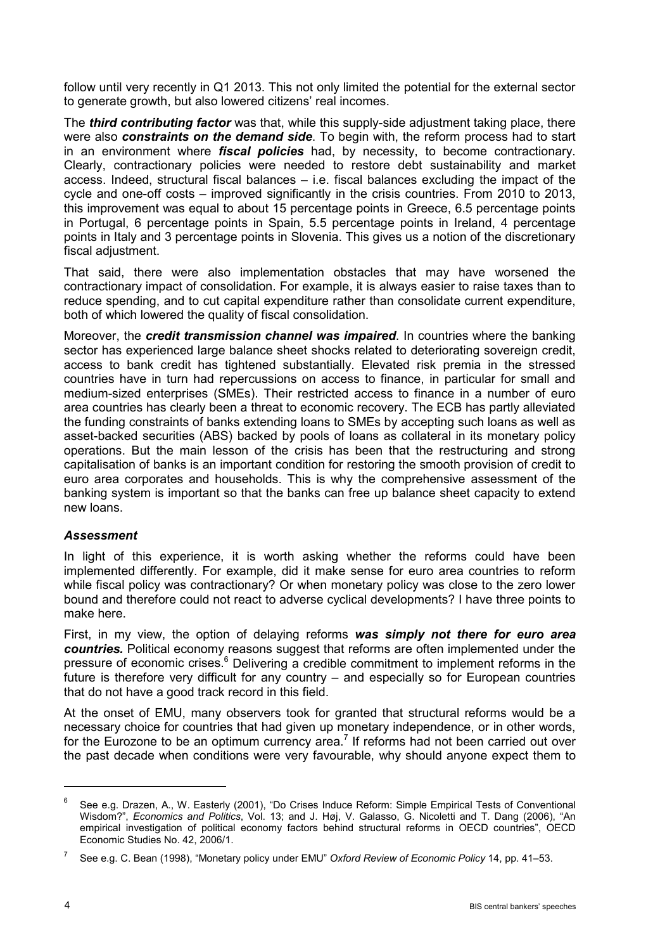follow until very recently in Q1 2013. This not only limited the potential for the external sector to generate growth, but also lowered citizens' real incomes.

The *third contributing factor* was that, while this supply-side adjustment taking place, there were also *constraints on the demand side*. To begin with, the reform process had to start in an environment where *fiscal policies* had, by necessity, to become contractionary. Clearly, contractionary policies were needed to restore debt sustainability and market access. Indeed, structural fiscal balances – i.e. fiscal balances excluding the impact of the cycle and one-off costs – improved significantly in the crisis countries. From 2010 to 2013, this improvement was equal to about 15 percentage points in Greece, 6.5 percentage points in Portugal, 6 percentage points in Spain, 5.5 percentage points in Ireland, 4 percentage points in Italy and 3 percentage points in Slovenia. This gives us a notion of the discretionary fiscal adjustment.

That said, there were also implementation obstacles that may have worsened the contractionary impact of consolidation. For example, it is always easier to raise taxes than to reduce spending, and to cut capital expenditure rather than consolidate current expenditure, both of which lowered the quality of fiscal consolidation.

Moreover, the *credit transmission channel was impaired*. In countries where the banking sector has experienced large balance sheet shocks related to deteriorating sovereign credit, access to bank credit has tightened substantially. Elevated risk premia in the stressed countries have in turn had repercussions on access to finance, in particular for small and medium-sized enterprises (SMEs). Their restricted access to finance in a number of euro area countries has clearly been a threat to economic recovery. The ECB has partly alleviated the funding constraints of banks extending loans to SMEs by accepting such loans as well as asset-backed securities (ABS) backed by pools of loans as collateral in its monetary policy operations. But the main lesson of the crisis has been that the restructuring and strong capitalisation of banks is an important condition for restoring the smooth provision of credit to euro area corporates and households. This is why the comprehensive assessment of the banking system is important so that the banks can free up balance sheet capacity to extend new loans.

# *Assessment*

In light of this experience, it is worth asking whether the reforms could have been implemented differently. For example, did it make sense for euro area countries to reform while fiscal policy was contractionary? Or when monetary policy was close to the zero lower bound and therefore could not react to adverse cyclical developments? I have three points to make here.

First, in my view, the option of delaying reforms *was simply not there for euro area countries.* Political economy reasons suggest that reforms are often implemented under the pressure of economic crises.<sup>6</sup> Delivering a credible commitment to implement reforms in the future is therefore very difficult for any country – and especially so for European countries that do not have a good track record in this field.

At the onset of EMU, many observers took for granted that structural reforms would be a necessary choice for countries that had given up monetary independence, or in other words, for the Eurozone to be an optimum currency area.<sup>7</sup> If reforms had not been carried out over the past decade when conditions were very favourable, why should anyone expect them to

 $6$  See e.g. Drazen, A., W. Easterly (2001), "Do Crises Induce Reform: Simple Empirical Tests of Conventional Wisdom?", *Economics and Politics*, Vol. 13; and J. Høj, V. Galasso, G. Nicoletti and T. Dang (2006), "An empirical investigation of political economy factors behind structural reforms in OECD countries", OECD Economic Studies No. 42, 2006/1.

<sup>7</sup> See e.g. C. Bean (1998), "Monetary policy under EMU" *Oxford Review of Economic Policy* 14, pp. 41–53.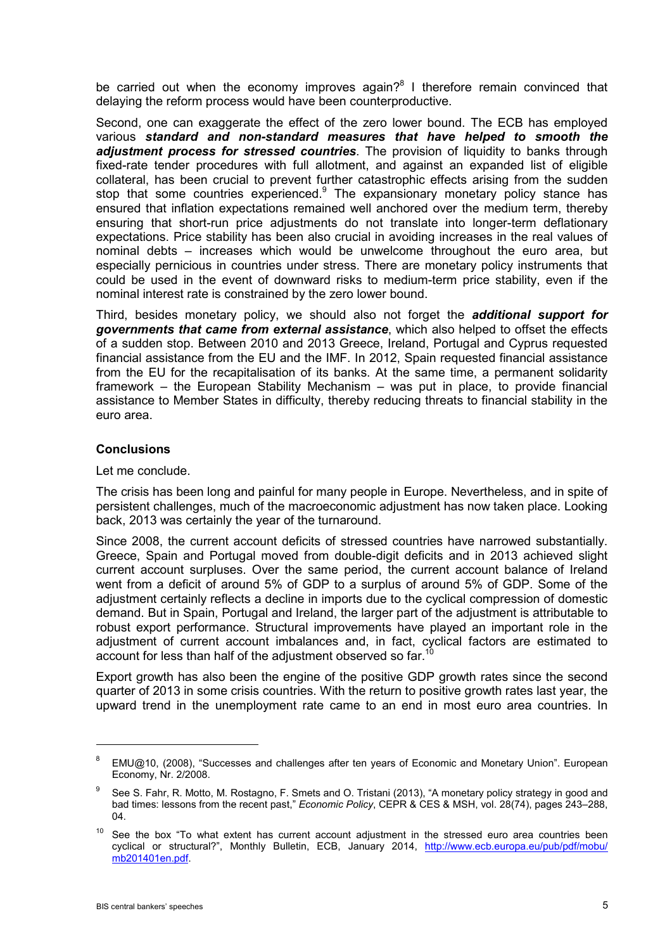be carried out when the economy improves again?<sup>8</sup> I therefore remain convinced that delaying the reform process would have been counterproductive.

Second, one can exaggerate the effect of the zero lower bound. The ECB has employed various *standard and non-standard measures that have helped to smooth the adjustment process for stressed countries*. The provision of liquidity to banks through fixed-rate tender procedures with full allotment, and against an expanded list of eligible collateral, has been crucial to prevent further catastrophic effects arising from the sudden stop that some countries experienced.<sup>9</sup> The expansionary monetary policy stance has ensured that inflation expectations remained well anchored over the medium term, thereby ensuring that short-run price adjustments do not translate into longer-term deflationary expectations. Price stability has been also crucial in avoiding increases in the real values of nominal debts – increases which would be unwelcome throughout the euro area, but especially pernicious in countries under stress. There are monetary policy instruments that could be used in the event of downward risks to medium-term price stability, even if the nominal interest rate is constrained by the zero lower bound.

Third, besides monetary policy, we should also not forget the *additional support for governments that came from external assistance*, which also helped to offset the effects of a sudden stop. Between 2010 and 2013 Greece, Ireland, Portugal and Cyprus requested financial assistance from the EU and the IMF. In 2012, Spain requested financial assistance from the EU for the recapitalisation of its banks. At the same time, a permanent solidarity framework – the European Stability Mechanism – was put in place, to provide financial assistance to Member States in difficulty, thereby reducing threats to financial stability in the euro area.

# **Conclusions**

#### Let me conclude.

The crisis has been long and painful for many people in Europe. Nevertheless, and in spite of persistent challenges, much of the macroeconomic adjustment has now taken place. Looking back, 2013 was certainly the year of the turnaround.

Since 2008, the current account deficits of stressed countries have narrowed substantially. Greece, Spain and Portugal moved from double-digit deficits and in 2013 achieved slight current account surpluses. Over the same period, the current account balance of Ireland went from a deficit of around 5% of GDP to a surplus of around 5% of GDP. Some of the adjustment certainly reflects a decline in imports due to the cyclical compression of domestic demand. But in Spain, Portugal and Ireland, the larger part of the adjustment is attributable to robust export performance. Structural improvements have played an important role in the adjustment of current account imbalances and, in fact, cyclical factors are estimated to account for less than half of the adjustment observed so far.<sup>10</sup>

Export growth has also been the engine of the positive GDP growth rates since the second quarter of 2013 in some crisis countries. With the return to positive growth rates last year, the upward trend in the unemployment rate came to an end in most euro area countries. In

<sup>&</sup>lt;sup>8</sup> EMU@10, (2008), "Successes and challenges after ten years of Economic and Monetary Union". European Economy, Nr. 2/2008.

 $9$  See S. Fahr, R. Motto, M. Rostagno, F. Smets and O. Tristani (2013), "A monetary policy strategy in good and bad times: lessons from the recent past," *Economic Policy*, CEPR & CES & MSH, vol. 28(74), pages 243–288, 04.

 $10$  See the box "To what extent has current account adjustment in the stressed euro area countries been cyclical or structural?", Monthly Bulletin, ECB, January 2014, [http://www.ecb.europa.eu/pub/pdf/mobu/](http://www.ecb.europa.eu/pub/pdf/mobu/mb201401en.pdf) [mb201401en.pdf.](http://www.ecb.europa.eu/pub/pdf/mobu/mb201401en.pdf)